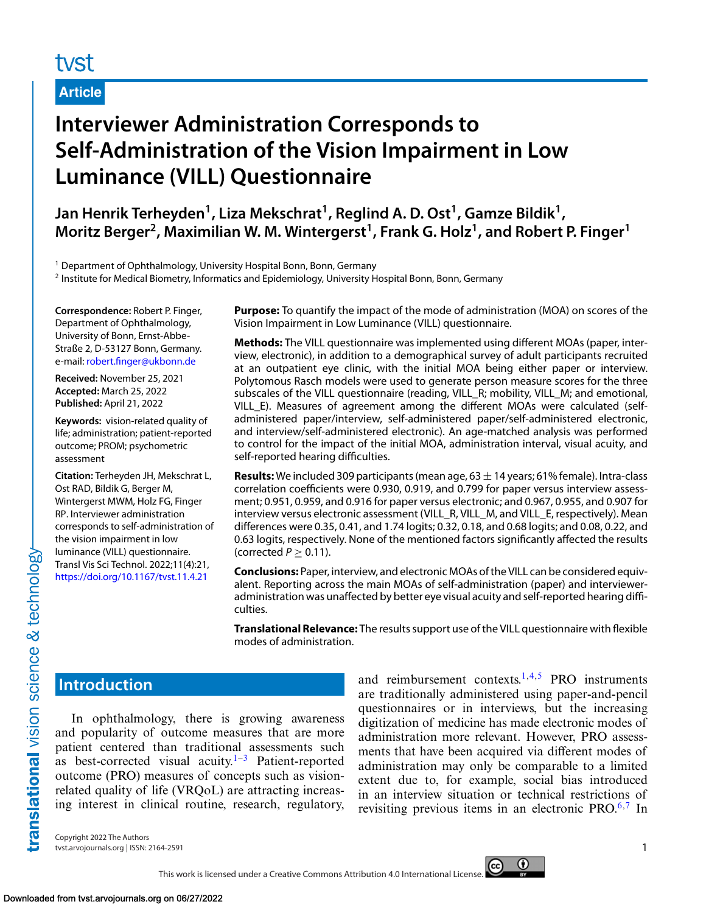# tyst

**Article**

# **Interviewer Administration Corresponds to Self-Administration of the Vision Impairment in Low Luminance (VILL) Questionnaire**

Jan Henrik Terheyden<sup>1</sup>, Liza Mekschrat<sup>1</sup>, Reglind A. D. Ost<sup>1</sup>, Gamze Bildik<sup>1</sup>, Moritz Berger<sup>2</sup>, Maximilian W. M. Wintergerst<sup>1</sup>, Frank G. Holz<sup>1</sup>, and Robert P. Finger<sup>1</sup>

 $1$  Department of Ophthalmology, University Hospital Bonn, Bonn, Germany

<sup>2</sup> Institute for Medical Biometry, Informatics and Epidemiology, University Hospital Bonn, Bonn, Germany

**Correspondence:** Robert P. Finger, Department of Ophthalmology, University of Bonn, Ernst-Abbe-Straße 2, D-53127 Bonn, Germany. e-mail: [robert.finger@ukbonn.de](mailto:robert.finger@ukbonn.de)

**Received:** November 25, 2021 **Accepted:** March 25, 2022 **Published:** April 21, 2022

**Keywords:** vision-related quality of life; administration; patient-reported outcome; PROM; psychometric assessment

**Citation:** Terheyden JH, Mekschrat L, Ost RAD, Bildik G, Berger M, Wintergerst MWM, Holz FG, Finger RP. Interviewer administration corresponds to self-administration of the vision impairment in low luminance (VILL) questionnaire. Transl Vis Sci Technol. 2022;11(4):21, <https://doi.org/10.1167/tvst.11.4.21>

**Purpose:** To quantify the impact of the mode of administration (MOA) on scores of the Vision Impairment in Low Luminance (VILL) questionnaire.

**Methods:** The VILL questionnaire was implemented using different MOAs (paper, interview, electronic), in addition to a demographical survey of adult participants recruited at an outpatient eye clinic, with the initial MOA being either paper or interview. Polytomous Rasch models were used to generate person measure scores for the three subscales of the VILL questionnaire (reading, VILL\_R; mobility, VILL\_M; and emotional, VILL\_E). Measures of agreement among the different MOAs were calculated (selfadministered paper/interview, self-administered paper/self-administered electronic, and interview/self-administered electronic). An age-matched analysis was performed to control for the impact of the initial MOA, administration interval, visual acuity, and self-reported hearing difficulties.

**Results:** We included 309 participants (mean age,  $63 \pm 14$  years; 61% female). Intra-class correlation coefficients were 0.930, 0.919, and 0.799 for paper versus interview assessment; 0.951, 0.959, and 0.916 for paper versus electronic; and 0.967, 0.955, and 0.907 for interview versus electronic assessment (VILL\_R, VILL\_M, and VILL\_E, respectively). Mean differences were 0.35, 0.41, and 1.74 logits; 0.32, 0.18, and 0.68 logits; and 0.08, 0.22, and 0.63 logits, respectively. None of the mentioned factors significantly affected the results (corrected  $P \geq 0.11$ ).

**Conclusions:** Paper, interview, and electronic MOAs of the VILL can be considered equivalent. Reporting across the main MOAs of self-administration (paper) and intervieweradministration was unaffected by better eye visual acuity and self-reported hearing difficulties.

**Translational Relevance:** The results support use of the VILL questionnaire with flexible modes of administration.

# **Introduction**

translational vision science & technology

In ophthalmology, there is growing awareness and popularity of outcome measures that are more patient centered than traditional assessments such as best-corrected visual acuity.<sup>1–3</sup> Patient-reported outcome (PRO) measures of concepts such as visionrelated quality of life (VRQoL) are attracting increasing interest in clinical routine, research, regulatory, and reimbursement contexts.<sup>1,4,5</sup> PRO instruments are traditionally administered using paper-and-pencil questionnaires or in interviews, but the increasing digitization of medicine has made electronic modes of administration more relevant. However, PRO assessments that have been acquired via different modes of administration may only be comparable to a limited extent due to, for example, social bias introduced in an interview situation or technical restrictions of revisiting previous items in an electronic  $PRO<sup>6,7</sup>$  $PRO<sup>6,7</sup>$  $PRO<sup>6,7</sup>$  In

Copyright 2022 The Authors tvst.arvojournals.org | ISSN: 2164-2591 1

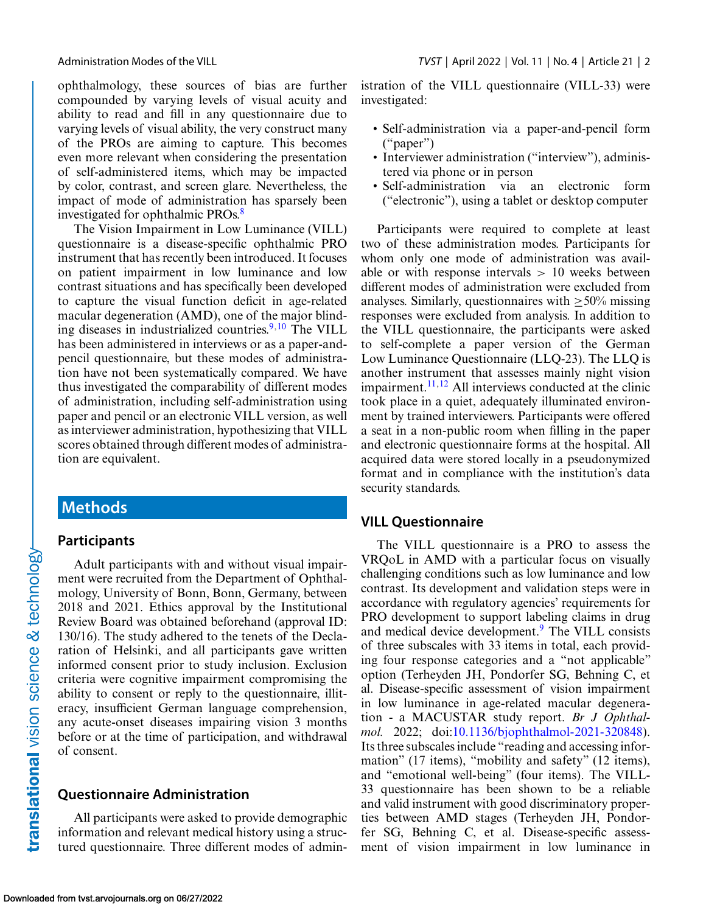ophthalmology, these sources of bias are further compounded by varying levels of visual acuity and ability to read and fill in any questionnaire due to varying levels of visual ability, the very construct many of the PROs are aiming to capture. This becomes even more relevant when considering the presentation of self-administered items, which may be impacted by color, contrast, and screen glare. Nevertheless, the impact of mode of administration has sparsely been investigated for ophthalmic PROs.[8](#page-8-0)

The Vision Impairment in Low Luminance (VILL) questionnaire is a disease-specific ophthalmic PRO instrument that has recently been introduced. It focuses on patient impairment in low luminance and low contrast situations and has specifically been developed to capture the visual function deficit in age-related macular degeneration (AMD), one of the major blinding diseases in industrialized countries. $9,10$  $9,10$  The VILL has been administered in interviews or as a paper-andpencil questionnaire, but these modes of administration have not been systematically compared. We have thus investigated the comparability of different modes of administration, including self-administration using paper and pencil or an electronic VILL version, as well as interviewer administration, hypothesizing that VILL scores obtained through different modes of administration are equivalent.

## **Methods**

## **Participants**

Adult participants with and without visual impairment were recruited from the Department of Ophthalmology, University of Bonn, Bonn, Germany, between 2018 and 2021. Ethics approval by the Institutional Review Board was obtained beforehand (approval ID: 130/16). The study adhered to the tenets of the Declaration of Helsinki, and all participants gave written informed consent prior to study inclusion. Exclusion criteria were cognitive impairment compromising the ability to consent or reply to the questionnaire, illiteracy, insufficient German language comprehension, any acute-onset diseases impairing vision 3 months before or at the time of participation, and withdrawal of consent.

## **Questionnaire Administration**

All participants were asked to provide demographic information and relevant medical history using a structured questionnaire. Three different modes of administration of the VILL questionnaire (VILL-33) were investigated:

- Self-administration via a paper-and-pencil form ("paper")
- Interviewer administration ("interview"), administered via phone or in person
- Self-administration via an electronic form ("electronic"), using a tablet or desktop computer

Participants were required to complete at least two of these administration modes. Participants for whom only one mode of administration was available or with response intervals  $> 10$  weeks between different modes of administration were excluded from analyses. Similarly, questionnaires with  $>50\%$  missing responses were excluded from analysis. In addition to the VILL questionnaire, the participants were asked to self-complete a paper version of the German Low Luminance Questionnaire (LLQ-23). The LLQ is another instrument that assesses mainly night vision impairment.<sup>[11,12](#page-9-0)</sup> All interviews conducted at the clinic took place in a quiet, adequately illuminated environment by trained interviewers. Participants were offered a seat in a non-public room when filling in the paper and electronic questionnaire forms at the hospital. All acquired data were stored locally in a pseudonymized format and in compliance with the institution's data security standards.

### **VILL Questionnaire**

The VILL questionnaire is a PRO to assess the VRQoL in AMD with a particular focus on visually challenging conditions such as low luminance and low contrast. Its development and validation steps were in accordance with regulatory agencies' requirements for PRO development to support labeling claims in drug and medical device development.<sup>9</sup> The VILL consists of three subscales with 33 items in total, each providing four response categories and a "not applicable" option (Terheyden JH, Pondorfer SG, Behning C, et al. Disease-specific assessment of vision impairment in low luminance in age-related macular degeneration - a MACUSTAR study report. *Br J Ophthalmol.* 2022; doi[:10.1136/bjophthalmol-2021-320848\)](https://doi.org/10.1136/bjophthalmol-2021-320848). Its three subscales include "reading and accessing information" (17 items), "mobility and safety" (12 items), and "emotional well-being" (four items). The VILL-33 questionnaire has been shown to be a reliable and valid instrument with good discriminatory properties between AMD stages (Terheyden JH, Pondorfer SG, Behning C, et al. Disease-specific assessment of vision impairment in low luminance in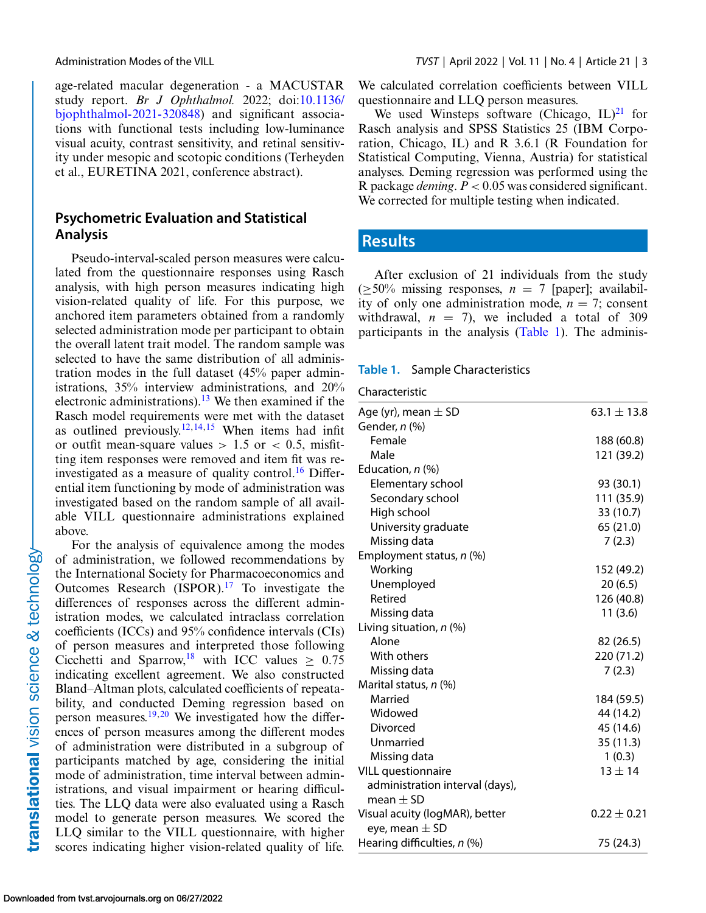translational vision science & technology-

age-related macular degeneration - a MACUSTAR study report. *Br J Ophthalmol.* 2022; doi:10.1136/ [bjophthalmol-2021-320848\) and significant associa](https://doi.org/10.1136/bjophthalmol-2021-320848)tions with functional tests including low-luminance visual acuity, contrast sensitivity, and retinal sensitivity under mesopic and scotopic conditions (Terheyden et al., EURETINA 2021, conference abstract).

## **Psychometric Evaluation and Statistical Analysis**

Pseudo-interval-scaled person measures were calculated from the questionnaire responses using Rasch analysis, with high person measures indicating high vision-related quality of life. For this purpose, we anchored item parameters obtained from a randomly selected administration mode per participant to obtain the overall latent trait model. The random sample was selected to have the same distribution of all administration modes in the full dataset (45% paper administrations, 35% interview administrations, and 20% electronic administrations).<sup>13</sup> We then examined if the Rasch model requirements were met with the dataset as outlined previously.<sup>[12,14,15](#page-9-0)</sup> When items had infit or outfit mean-square values  $> 1.5$  or  $< 0.5$ , misfitting item responses were removed and item fit was re-investigated as a measure of quality control.<sup>[16](#page-9-0)</sup> Differential item functioning by mode of administration was investigated based on the random sample of all available VILL questionnaire administrations explained above.

For the analysis of equivalence among the modes of administration, we followed recommendations by the International Society for Pharmacoeconomics and Outcomes Research  $(ISPOR).<sup>17</sup>$  To investigate the differences of responses across the different administration modes, we calculated intraclass correlation coefficients (ICCs) and 95% confidence intervals (CIs) of person measures and interpreted those following Cicchetti and Sparrow,<sup>18</sup> with ICC values  $\geq 0.75$ indicating excellent agreement. We also constructed Bland–Altman plots, calculated coefficients of repeatability, and conducted Deming regression based on person measures.<sup>19,20</sup> We investigated how the differences of person measures among the different modes of administration were distributed in a subgroup of participants matched by age, considering the initial mode of administration, time interval between administrations, and visual impairment or hearing difficulties. The LLQ data were also evaluated using a Rasch model to generate person measures. We scored the LLQ similar to the VILL questionnaire, with higher scores indicating higher vision-related quality of life.

We calculated correlation coefficients between VILL questionnaire and LLQ person measures.

We used Winsteps software (Chicago,  $IL)^{21}$  for Rasch analysis and SPSS Statistics 25 (IBM Corporation, Chicago, IL) and R 3.6.1 (R Foundation for Statistical Computing, Vienna, Austria) for statistical analyses. Deming regression was performed using the R package *deming*. *P* < 0.05 was considered significant. We corrected for multiple testing when indicated.

## **Results**

After exclusion of 21 individuals from the study  $(>50\%$  missing responses,  $n = 7$  [paper]; availability of only one administration mode,  $n = 7$ ; consent withdrawal,  $n = 7$ , we included a total of 309 participants in the analysis (Table 1). The adminis-

#### **Table 1.** Sample Characteristics

| Characteristic |  |
|----------------|--|
|                |  |

| Age (yr), mean $\pm$ SD         | $63.1 \pm 13.8$ |
|---------------------------------|-----------------|
| Gender, n (%)                   |                 |
| Female                          | 188 (60.8)      |
| Male                            | 121 (39.2)      |
| Education, n (%)                |                 |
| Elementary school               | 93 (30.1)       |
| Secondary school                | 111 (35.9)      |
| High school                     | 33 (10.7)       |
| University graduate             | 65 (21.0)       |
| Missing data                    | 7(2.3)          |
| Employment status, n (%)        |                 |
| Working                         | 152 (49.2)      |
| Unemployed                      | 20(6.5)         |
| Retired                         | 126 (40.8)      |
| Missing data                    | 11(3.6)         |
| Living situation, n (%)         |                 |
| Alone                           | 82 (26.5)       |
| With others                     | 220 (71.2)      |
| Missing data                    | 7(2.3)          |
| Marital status, n (%)           |                 |
| Married                         | 184 (59.5)      |
| Widowed                         | 44 (14.2)       |
| Divorced                        | 45 (14.6)       |
| Unmarried                       | 35(11.3)        |
| Missing data                    | 1(0.3)          |
| <b>VILL</b> questionnaire       | $13 \pm 14$     |
| administration interval (days), |                 |
| mean $\pm$ SD                   |                 |
| Visual acuity (logMAR), better  | $0.22 \pm 0.21$ |
| eye, mean $\pm$ SD              |                 |
| Hearing difficulties, n (%)     | 75 (24.3)       |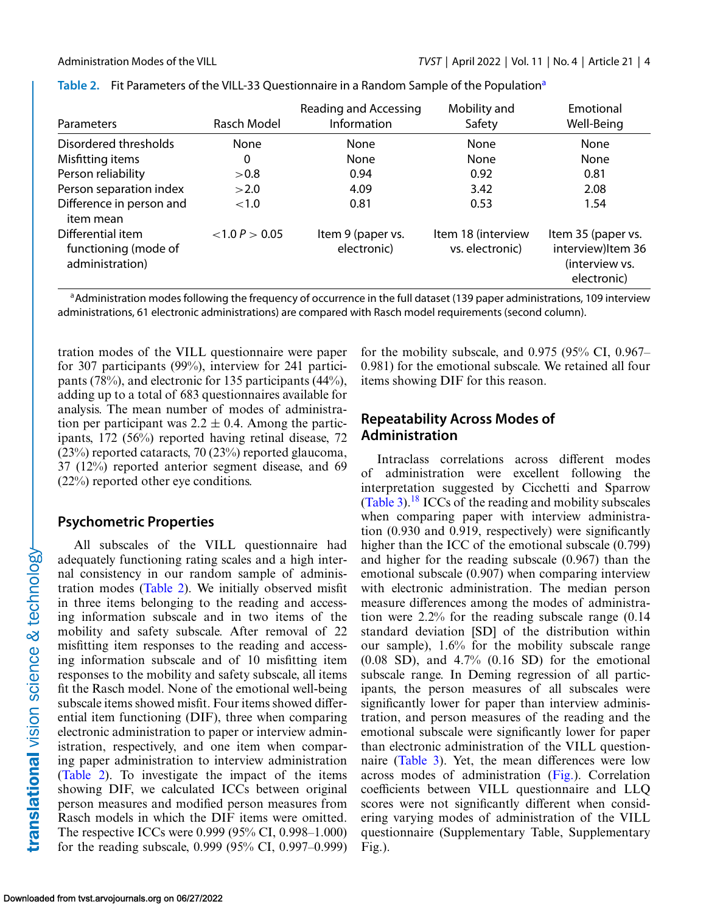| <b>Parameters</b>                                            | Rasch Model    | Reading and Accessing<br>Information | Mobility and<br>Safety                | Emotional<br>Well-Being                                                   |
|--------------------------------------------------------------|----------------|--------------------------------------|---------------------------------------|---------------------------------------------------------------------------|
| Disordered thresholds                                        | None           | None                                 | None                                  | None                                                                      |
| Misfitting items                                             | 0              | None                                 | None                                  | None                                                                      |
| Person reliability                                           | > 0.8          | 0.94                                 | 0.92                                  | 0.81                                                                      |
| Person separation index                                      | >2.0           | 4.09                                 | 3.42                                  | 2.08                                                                      |
| Difference in person and<br>item mean                        | ${<}1.0$       | 0.81                                 | 0.53                                  | 1.54                                                                      |
| Differential item<br>functioning (mode of<br>administration) | < 1.0 P > 0.05 | Item 9 (paper vs.<br>electronic)     | Item 18 (interview<br>vs. electronic) | Item 35 (paper vs.<br>interview) Item 36<br>(interview vs.<br>electronic) |

|  | Table 2. Fit Parameters of the VILL-33 Questionnaire in a Random Sample of the Population <sup>a</sup> |  |  |
|--|--------------------------------------------------------------------------------------------------------|--|--|
|--|--------------------------------------------------------------------------------------------------------|--|--|

<sup>a</sup>Administration modes following the frequency of occurrence in the full dataset (139 paper administrations, 109 interview administrations, 61 electronic administrations) are compared with Rasch model requirements (second column).

tration modes of the VILL questionnaire were paper for 307 participants (99%), interview for 241 participants (78%), and electronic for 135 participants (44%), adding up to a total of 683 questionnaires available for analysis. The mean number of modes of administration per participant was  $2.2 \pm 0.4$ . Among the participants, 172 (56%) reported having retinal disease, 72 (23%) reported cataracts, 70 (23%) reported glaucoma, 37 (12%) reported anterior segment disease, and 69 (22%) reported other eye conditions.

## **Psychometric Properties**

All subscales of the VILL questionnaire had adequately functioning rating scales and a high internal consistency in our random sample of administration modes (Table 2). We initially observed misfit in three items belonging to the reading and accessing information subscale and in two items of the mobility and safety subscale. After removal of 22 misfitting item responses to the reading and accessing information subscale and of 10 misfitting item responses to the mobility and safety subscale, all items fit the Rasch model. None of the emotional well-being subscale items showed misfit. Four items showed differential item functioning (DIF), three when comparing electronic administration to paper or interview administration, respectively, and one item when comparing paper administration to interview administration (Table 2). To investigate the impact of the items showing DIF, we calculated ICCs between original person measures and modified person measures from Rasch models in which the DIF items were omitted. The respective ICCs were 0.999 (95% CI, 0.998–1.000) for the reading subscale, 0.999 (95% CI, 0.997–0.999) for the mobility subscale, and  $0.975$  (95% CI, 0.967– 0.981) for the emotional subscale. We retained all four items showing DIF for this reason.

## **Repeatability Across Modes of Administration**

Intraclass correlations across different modes of administration were excellent following the interpretation suggested by Cicchetti and Sparrow  $(Table 3)$ .<sup>18</sup> ICCs of the reading and mobility subscales when comparing paper with interview administration (0.930 and 0.919, respectively) were significantly higher than the ICC of the emotional subscale (0.799) and higher for the reading subscale (0.967) than the emotional subscale (0.907) when comparing interview with electronic administration. The median person measure differences among the modes of administration were 2.2% for the reading subscale range (0.14 standard deviation [SD] of the distribution within our sample), 1.6% for the mobility subscale range  $(0.08 S$ D), and  $4.7\%$   $(0.16 S$ D) for the emotional subscale range. In Deming regression of all participants, the person measures of all subscales were significantly lower for paper than interview administration, and person measures of the reading and the emotional subscale were significantly lower for paper than electronic administration of the VILL questionnaire [\(Table 3\)](#page-4-0). Yet, the mean differences were low across modes of administration [\(Fig.\)](#page-5-0). Correlation coefficients between VILL questionnaire and LLQ scores were not significantly different when considering varying modes of administration of the VILL questionnaire (Supplementary Table, Supplementary Fig.).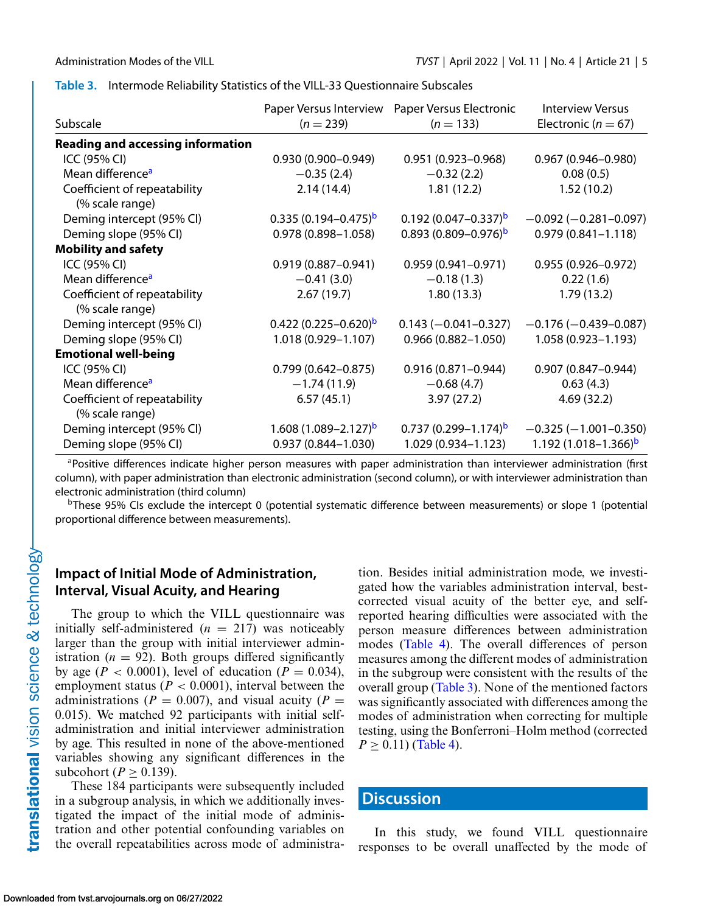<span id="page-4-0"></span>

|  |  |  | Table 3. Intermode Reliability Statistics of the VILL-33 Questionnaire Subscales |
|--|--|--|----------------------------------------------------------------------------------|
|--|--|--|----------------------------------------------------------------------------------|

|                                                 | Paper Versus Interview   | Paper Versus Electronic    | <b>Interview Versus</b>     |
|-------------------------------------------------|--------------------------|----------------------------|-----------------------------|
| Subscale                                        | $(n = 239)$              | $(n = 133)$                | Electronic ( $n = 67$ )     |
| <b>Reading and accessing information</b>        |                          |                            |                             |
| ICC (95% CI)                                    | $0.930(0.900 - 0.949)$   | $0.951(0.923 - 0.968)$     | $0.967(0.946 - 0.980)$      |
| Mean difference <sup>a</sup>                    | $-0.35(2.4)$             | $-0.32(2.2)$               | 0.08(0.5)                   |
| Coefficient of repeatability<br>(% scale range) | 2.14(14.4)               | 1.81(12.2)                 | 1.52(10.2)                  |
| Deming intercept (95% CI)                       | $0.335(0.194 - 0.475)^b$ | $0.192(0.047 - 0.337)^b$   | $-0.092$ ( $-0.281$ -0.097) |
| Deming slope (95% CI)                           | $0.978(0.898 - 1.058)$   | $0.893(0.809 - 0.976)^b$   | $0.979(0.841 - 1.118)$      |
| <b>Mobility and safety</b>                      |                          |                            |                             |
| ICC (95% CI)                                    | $0.919(0.887 - 0.941)$   | $0.959(0.941 - 0.971)$     | $0.955(0.926 - 0.972)$      |
| Mean difference <sup>a</sup>                    | $-0.41(3.0)$             | $-0.18(1.3)$               | 0.22(1.6)                   |
| Coefficient of repeatability<br>(% scale range) | 2.67(19.7)               | 1.80(13.3)                 | 1.79(13.2)                  |
| Deming intercept (95% CI)                       | $0.422(0.225-0.620)^b$   | $0.143 (-0.041 - 0.327)$   | $-0.176(-0.439-0.087)$      |
| Deming slope (95% CI)                           | 1.018 (0.929-1.107)      | $0.966(0.882 - 1.050)$     | 1.058 (0.923-1.193)         |
| <b>Emotional well-being</b>                     |                          |                            |                             |
| ICC (95% CI)                                    | $0.799(0.642 - 0.875)$   | $0.916(0.871 - 0.944)$     | $0.907(0.847 - 0.944)$      |
| Mean difference <sup>a</sup>                    | $-1.74(11.9)$            | $-0.68(4.7)$               | 0.63(4.3)                   |
| Coefficient of repeatability<br>(% scale range) | 6.57(45.1)               | 3.97(27.2)                 | 4.69(32.2)                  |
| Deming intercept (95% CI)                       | $1.608(1.089 - 2.127)^b$ | $0.737(0.299 - 1.174)^{b}$ | $-0.325(-1.001-0.350)$      |
| Deming slope (95% CI)                           | $0.937(0.844 - 1.030)$   | $1.029(0.934 - 1.123)$     | 1.192 $(1.018 - 1.366)^b$   |

aPositive differences indicate higher person measures with paper administration than interviewer administration (first column), with paper administration than electronic administration (second column), or with interviewer administration than electronic administration (third column)

<sup>b</sup>These 95% CIs exclude the intercept 0 (potential systematic difference between measurements) or slope 1 (potential proportional difference between measurements).

## **Impact of Initial Mode of Administration, Interval, Visual Acuity, and Hearing**

The group to which the VILL questionnaire was initially self-administered  $(n = 217)$  was noticeably larger than the group with initial interviewer administration  $(n = 92)$ . Both groups differed significantly by age ( $P < 0.0001$ ), level of education ( $P = 0.034$ ), employment status ( $P < 0.0001$ ), interval between the administrations ( $P = 0.007$ ), and visual acuity ( $P =$ 0.015). We matched 92 participants with initial selfadministration and initial interviewer administration by age. This resulted in none of the above-mentioned variables showing any significant differences in the subcohort ( $P \geq 0.139$ ).

These 184 participants were subsequently included in a subgroup analysis, in which we additionally investigated the impact of the initial mode of administration and other potential confounding variables on the overall repeatabilities across mode of administration. Besides initial administration mode, we investigated how the variables administration interval, bestcorrected visual acuity of the better eye, and selfreported hearing difficulties were associated with the person measure differences between administration modes [\(Table 4\)](#page-6-0). The overall differences of person measures among the different modes of administration in the subgroup were consistent with the results of the overall group (Table 3). None of the mentioned factors was significantly associated with differences among the modes of administration when correcting for multiple testing, using the Bonferroni–Holm method (corrected  $P \geq 0.11$ ) [\(Table 4\)](#page-6-0).

## **Discussion**

In this study, we found VILL questionnaire responses to be overall unaffected by the mode of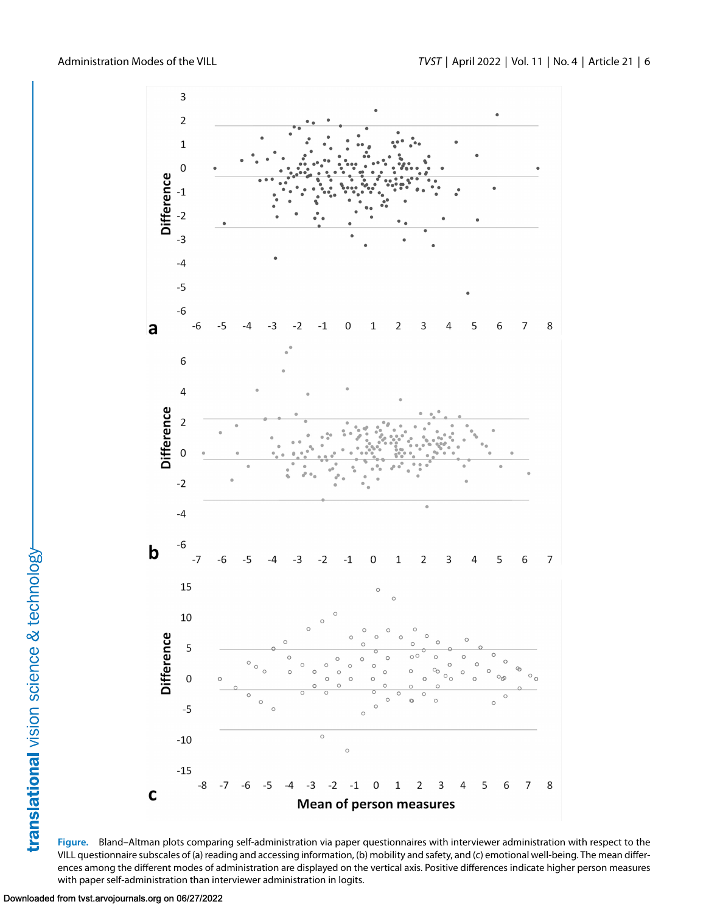<span id="page-5-0"></span>

**Figure.** Bland–Altman plots comparing self-administration via paper questionnaires with interviewer administration with respect to the VILL questionnaire subscales of (a) reading and accessing information, (b) mobility and safety, and (c) emotional well-being. The mean differences among the different modes of administration are displayed on the vertical axis. Positive differences indicate higher person measures with paper self-administration than interviewer administration in logits.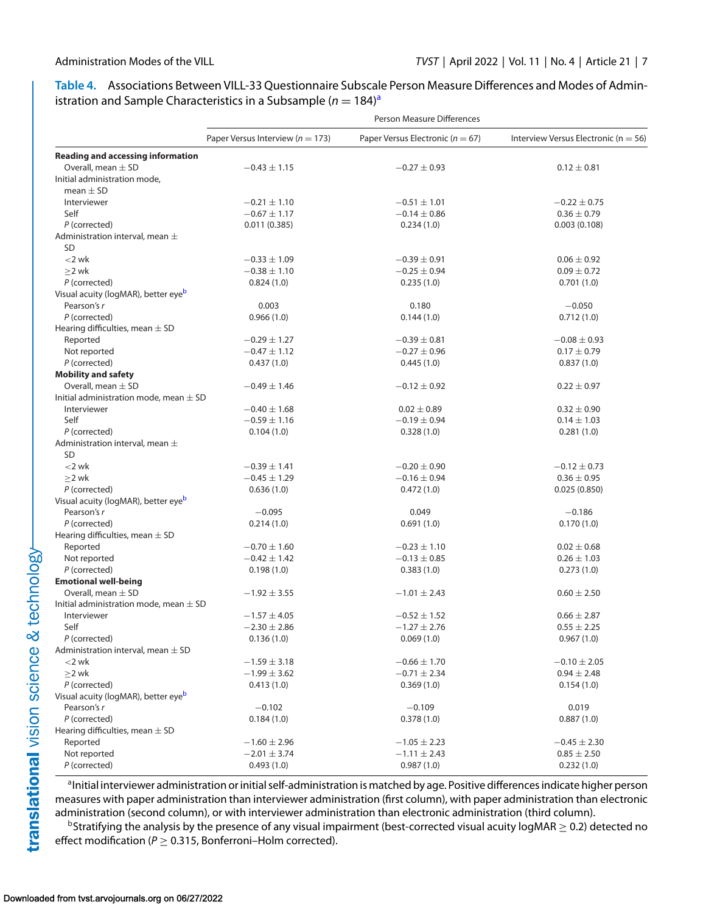### <span id="page-6-0"></span>**Table 4.** Associations Between VILL-33 Questionnaire Subscale Person Measure Differences and Modes of Administration and Sample Characteristics in a Subsample ( $n = 184$ )<sup>a</sup>

|                                                 | Person Measure Differences           |                                      |                                          |  |
|-------------------------------------------------|--------------------------------------|--------------------------------------|------------------------------------------|--|
|                                                 | Paper Versus Interview ( $n = 173$ ) | Paper Versus Electronic ( $n = 67$ ) | Interview Versus Electronic ( $n = 56$ ) |  |
| <b>Reading and accessing information</b>        |                                      |                                      |                                          |  |
| Overall, mean $\pm$ SD                          | $-0.43 \pm 1.15$                     | $-0.27 \pm 0.93$                     | $0.12 \pm 0.81$                          |  |
| Initial administration mode,                    |                                      |                                      |                                          |  |
| mean $\pm$ SD                                   |                                      |                                      |                                          |  |
| Interviewer                                     | $-0.21 \pm 1.10$                     | $-0.51 \pm 1.01$                     | $-0.22 \pm 0.75$                         |  |
| Self                                            | $-0.67 \pm 1.17$                     | $-0.14 \pm 0.86$                     | $0.36 \pm 0.79$                          |  |
| P (corrected)                                   | 0.011(0.385)                         | 0.234(1.0)                           | 0.003(0.108)                             |  |
| Administration interval, mean $\pm$             |                                      |                                      |                                          |  |
| <b>SD</b>                                       |                                      |                                      |                                          |  |
| $<$ 2 wk                                        | $-0.33 \pm 1.09$                     | $-0.39 \pm 0.91$                     | $0.06 \pm 0.92$                          |  |
| $>2$ wk                                         | $-0.38 \pm 1.10$                     | $-0.25 \pm 0.94$                     | $0.09 \pm 0.72$                          |  |
| P (corrected)                                   |                                      |                                      |                                          |  |
|                                                 | 0.824(1.0)                           | 0.235(1.0)                           | 0.701(1.0)                               |  |
| Visual acuity (logMAR), better eye <sup>b</sup> |                                      |                                      |                                          |  |
| Pearson's r                                     | 0.003                                | 0.180                                | $-0.050$                                 |  |
| P (corrected)                                   | 0.966(1.0)                           | 0.144(1.0)                           | 0.712(1.0)                               |  |
| Hearing difficulties, mean $\pm$ SD             |                                      |                                      |                                          |  |
| Reported                                        | $-0.29 \pm 1.27$                     | $-0.39 \pm 0.81$                     | $-0.08 \pm 0.93$                         |  |
| Not reported                                    | $-0.47 \pm 1.12$                     | $-0.27 \pm 0.96$                     | $0.17 \pm 0.79$                          |  |
| P (corrected)                                   | 0.437(1.0)                           | 0.445(1.0)                           | 0.837(1.0)                               |  |
| <b>Mobility and safety</b>                      |                                      |                                      |                                          |  |
| Overall, mean $\pm$ SD                          | $-0.49 \pm 1.46$                     | $-0.12 \pm 0.92$                     | $0.22 \pm 0.97$                          |  |
| Initial administration mode, mean $\pm$ SD      |                                      |                                      |                                          |  |
| Interviewer                                     | $-0.40 \pm 1.68$                     | $0.02 \pm 0.89$                      | $0.32 \pm 0.90$                          |  |
| Self                                            | $-0.59 \pm 1.16$                     | $-0.19 \pm 0.94$                     | $0.14 \pm 1.03$                          |  |
| P (corrected)                                   | 0.104(1.0)                           | 0.328(1.0)                           | 0.281(1.0)                               |  |
| Administration interval, mean $\pm$             |                                      |                                      |                                          |  |
| <b>SD</b>                                       |                                      |                                      |                                          |  |
| $<$ 2 wk                                        | $-0.39 \pm 1.41$                     | $-0.20 \pm 0.90$                     | $-0.12 \pm 0.73$                         |  |
|                                                 | $-0.45 \pm 1.29$                     | $-0.16 \pm 0.94$                     | $0.36 \pm 0.95$                          |  |
| $\geq$ 2 wk                                     |                                      |                                      |                                          |  |
| P (corrected)                                   | 0.636(1.0)                           | 0.472(1.0)                           | 0.025(0.850)                             |  |
| Visual acuity (logMAR), better eye <sup>b</sup> |                                      |                                      |                                          |  |
| Pearson's r                                     | $-0.095$                             | 0.049                                | $-0.186$                                 |  |
| P (corrected)                                   | 0.214(1.0)                           | 0.691(1.0)                           | 0.170(1.0)                               |  |
| Hearing difficulties, mean $\pm$ SD             |                                      |                                      |                                          |  |
| Reported                                        | $-0.70 \pm 1.60$                     | $-0.23 \pm 1.10$                     | $0.02 \pm 0.68$                          |  |
| Not reported                                    | $-0.42 \pm 1.42$                     | $-0.13 \pm 0.85$                     | $0.26 \pm 1.03$                          |  |
| P (corrected)                                   | 0.198(1.0)                           | 0.383(1.0)                           | 0.273(1.0)                               |  |
| <b>Emotional well-being</b>                     |                                      |                                      |                                          |  |
| Overall, mean $\pm$ SD                          | $-1.92 \pm 3.55$                     | $-1.01 \pm 2.43$                     | $0.60 \pm 2.50$                          |  |
| Initial administration mode, mean $\pm$ SD      |                                      |                                      |                                          |  |
| Interviewer                                     | $-1.57 \pm 4.05$                     | $-0.52 \pm 1.52$                     | $0.66 \pm 2.87$                          |  |
| Self                                            | $-2.30 \pm 2.86$                     | $-1.27 \pm 2.76$                     | $0.55 \pm 2.25$                          |  |
| P (corrected)                                   | 0.136(1.0)                           | 0.069(1.0)                           | 0.967(1.0)                               |  |
| Administration interval, mean $\pm$ SD          |                                      |                                      |                                          |  |
| $<$ 2 wk                                        | $-1.59 \pm 3.18$                     | $-0.66 \pm 1.70$                     | $-0.10 \pm 2.05$                         |  |
| $\geq$ 2 wk                                     | $-1.99 \pm 3.62$                     | $-0.71 \pm 2.34$                     | $0.94 \pm 2.48$                          |  |
| P (corrected)                                   | 0.413(1.0)                           | 0.369(1.0)                           |                                          |  |
| Visual acuity (logMAR), better eyeb             |                                      |                                      | 0.154(1.0)                               |  |
|                                                 |                                      |                                      |                                          |  |
| Pearson's r                                     | $-0.102$                             | $-0.109$                             | 0.019                                    |  |
| P (corrected)                                   | 0.184(1.0)                           | 0.378(1.0)                           | 0.887(1.0)                               |  |
| Hearing difficulties, mean $\pm$ SD             |                                      |                                      |                                          |  |
| Reported                                        | $-1.60 \pm 2.96$                     | $-1.05 \pm 2.23$                     | $-0.45 \pm 2.30$                         |  |
| Not reported                                    | $-2.01 \pm 3.74$                     | $-1.11 \pm 2.43$                     | $0.85 \pm 2.50$                          |  |
| P (corrected)                                   | 0.493(1.0)                           | 0.987(1.0)                           | 0.232(1.0)                               |  |

aInitial interviewer administration or initial self-administration is matched by age. Positive differences indicate higher person measures with paper administration than interviewer administration (first column), with paper administration than electronic administration (second column), or with interviewer administration than electronic administration (third column).

 $b$ Stratifying the analysis by the presence of any visual impairment (best-corrected visual acuity logMAR  $\geq$  0.2) detected no effect modification ( $P \ge 0.315$ , Bonferroni-Holm corrected).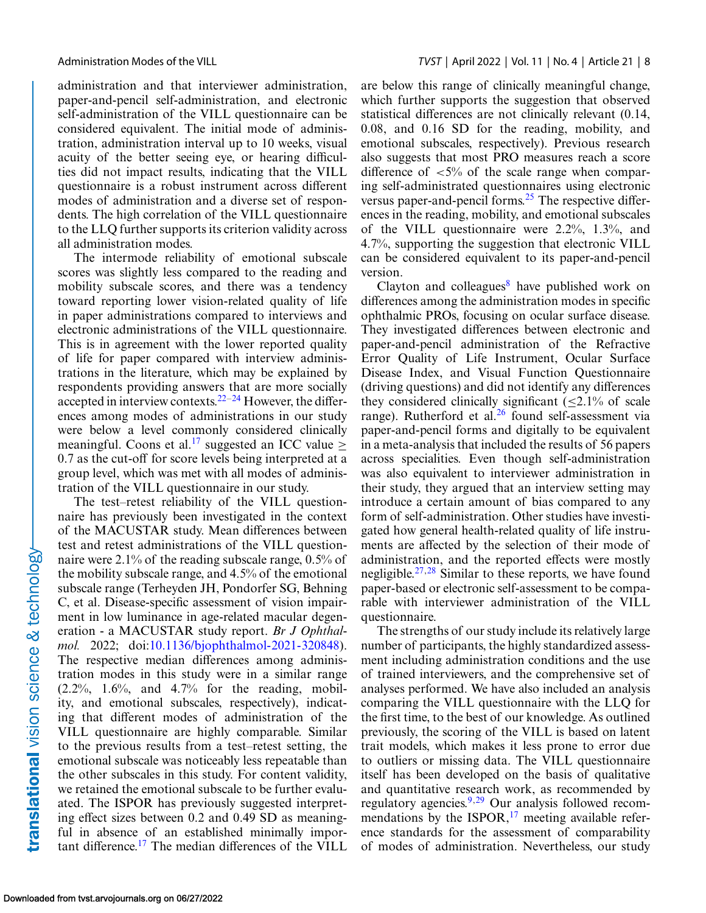administration and that interviewer administration, paper-and-pencil self-administration, and electronic self-administration of the VILL questionnaire can be considered equivalent. The initial mode of administration, administration interval up to 10 weeks, visual acuity of the better seeing eye, or hearing difficulties did not impact results, indicating that the VILL questionnaire is a robust instrument across different modes of administration and a diverse set of respondents. The high correlation of the VILL questionnaire to the LLQ further supports its criterion validity across all administration modes.

The intermode reliability of emotional subscale scores was slightly less compared to the reading and mobility subscale scores, and there was a tendency toward reporting lower vision-related quality of life in paper administrations compared to interviews and electronic administrations of the VILL questionnaire. This is in agreement with the lower reported quality of life for paper compared with interview administrations in the literature, which may be explained by respondents providing answers that are more socially accepted in interview contexts. $22-24$  However, the differences among modes of administrations in our study were below a level commonly considered clinically meaningful. Coons et al.<sup>[17](#page-9-0)</sup> suggested an ICC value  $\geq$ 0.7 as the cut-off for score levels being interpreted at a group level, which was met with all modes of administration of the VILL questionnaire in our study.

The test–retest reliability of the VILL questionnaire has previously been investigated in the context of the MACUSTAR study. Mean differences between test and retest administrations of the VILL questionnaire were 2.1% of the reading subscale range, 0.5% of the mobility subscale range, and 4.5% of the emotional subscale range (Terheyden JH, Pondorfer SG, Behning C, et al. Disease-specific assessment of vision impairment in low luminance in age-related macular degeneration - a MACUSTAR study report. *Br J Ophthalmol.* 2022; doi[:10.1136/bjophthalmol-2021-320848\)](https://doi.org/10.1136/bjophthalmol-2021-320848). The respective median differences among administration modes in this study were in a similar range  $(2.2\%, 1.6\%, \text{ and } 4.7\% \text{ for the reading, mobil-}$ ity, and emotional subscales, respectively), indicating that different modes of administration of the VILL questionnaire are highly comparable. Similar to the previous results from a test–retest setting, the emotional subscale was noticeably less repeatable than the other subscales in this study. For content validity, we retained the emotional subscale to be further evaluated. The ISPOR has previously suggested interpreting effect sizes between 0.2 and 0.49 SD as meaningful in absence of an established minimally important difference.[17](#page-9-0) The median differences of the VILL are below this range of clinically meaningful change, which further supports the suggestion that observed statistical differences are not clinically relevant (0.14, 0.08, and 0.16 SD for the reading, mobility, and emotional subscales, respectively). Previous research also suggests that most PRO measures reach a score difference of  $\langle 5\% \rangle$  of the scale range when comparing self-administrated questionnaires using electronic versus paper-and-pencil forms.<sup>25</sup> The respective differences in the reading, mobility, and emotional subscales of the VILL questionnaire were 2.2%, 1.3%, and 4.7%, supporting the suggestion that electronic VILL can be considered equivalent to its paper-and-pencil version.

Clayton and colleagues $\delta$  have published work on differences among the administration modes in specific ophthalmic PROs, focusing on ocular surface disease. They investigated differences between electronic and paper-and-pencil administration of the Refractive Error Quality of Life Instrument, Ocular Surface Disease Index, and Visual Function Questionnaire (driving questions) and did not identify any differences they considered clinically significant  $(\leq 2.1\%$  of scale range). Rutherford et al. $26$  found self-assessment via paper-and-pencil forms and digitally to be equivalent in a meta-analysis that included the results of 56 papers across specialities. Even though self-administration was also equivalent to interviewer administration in their study, they argued that an interview setting may introduce a certain amount of bias compared to any form of self-administration. Other studies have investigated how general health-related quality of life instruments are affected by the selection of their mode of administration, and the reported effects were mostly negligible.<sup>27,28</sup> Similar to these reports, we have found paper-based or electronic self-assessment to be comparable with interviewer administration of the VILL questionnaire.

The strengths of our study include its relatively large number of participants, the highly standardized assessment including administration conditions and the use of trained interviewers, and the comprehensive set of analyses performed. We have also included an analysis comparing the VILL questionnaire with the LLQ for the first time, to the best of our knowledge. As outlined previously, the scoring of the VILL is based on latent trait models, which makes it less prone to error due to outliers or missing data. The VILL questionnaire itself has been developed on the basis of qualitative and quantitative research work, as recommended by regulatory agencies[.9,](#page-8-0)[29](#page-9-0) Our analysis followed recommendations by the ISPOR, $^{17}$  meeting available reference standards for the assessment of comparability of modes of administration. Nevertheless, our study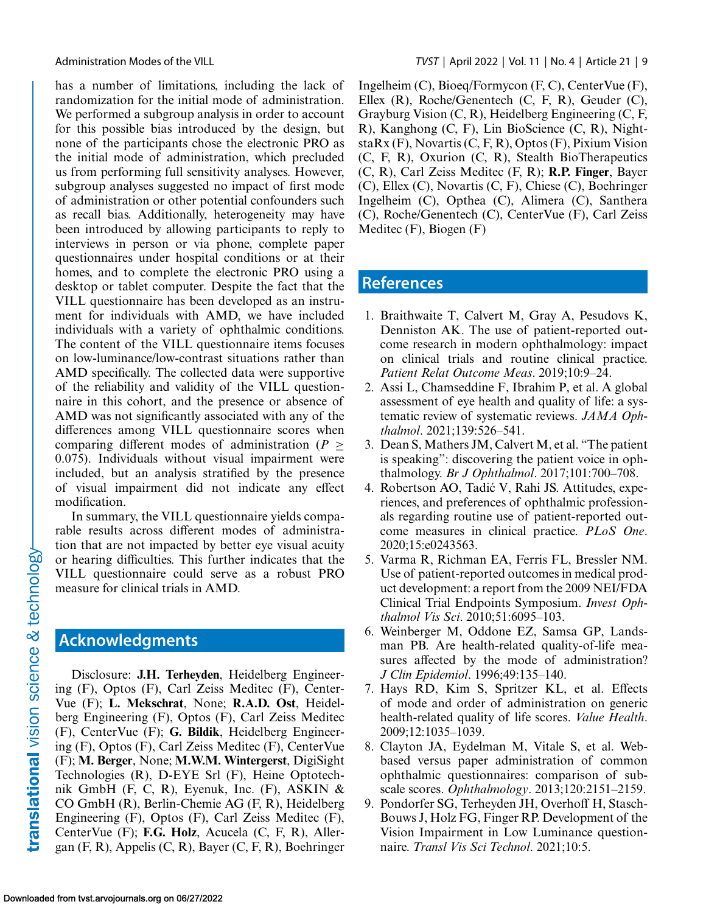<span id="page-8-0"></span>

has a number of limitations, including the lack of randomization for the initial mode of administration. We performed a subgroup analysis in order to account for this possible bias introduced by the design, but none of the participants chose the electronic PRO as the initial mode of administration, which precluded us from performing full sensitivity analyses. However, subgroup analyses suggested no impact of first mode of administration or other potential confounders such as recall bias. Additionally, heterogeneity may have been introduced by allowing participants to reply to interviews in person or via phone, complete paper questionnaires under hospital conditions or at their homes, and to complete the electronic PRO using a desktop or tablet computer. Despite the fact that the VILL questionnaire has been developed as an instrument for individuals with AMD, we have included individuals with a variety of ophthalmic conditions. The content of the VILL questionnaire items focuses on low-luminance/low-contrast situations rather than AMD specifically. The collected data were supportive of the reliability and validity of the VILL questionnaire in this cohort, and the presence or absence of AMD was not significantly associated with any of the differences among VILL questionnaire scores when comparing different modes of administration ( $P >$ 0.075). Individuals without visual impairment were included, but an analysis stratified by the presence of visual impairment did not indicate any effect modification.

In summary, the VILL questionnaire yields comparable results across different modes of administration that are not impacted by better eye visual acuity or hearing difficulties. This further indicates that the VILL questionnaire could serve as a robust PRO measure for clinical trials in AMD.

## **Acknowledgments**

Disclosure: **J.H. Terheyden**, Heidelberg Engineering (F), Optos (F), Carl Zeiss Meditec (F), Center-Vue (F); **L. Mekschrat**, None; **R.A.D. Ost**, Heidelberg Engineering (F), Optos (F), Carl Zeiss Meditec (F), CenterVue (F); **G. Bildik**, Heidelberg Engineering (F), Optos (F), Carl Zeiss Meditec (F), CenterVue (F); **M. Berger**, None; **M.W.M. Wintergerst**, DigiSight Technologies (R), D-EYE Srl (F), Heine Optotechnik GmbH (F, C, R), Eyenuk, Inc. (F), ASKIN  $\&$ CO GmbH (R), Berlin-Chemie AG (F, R), Heidelberg Engineering (F), Optos (F), Carl Zeiss Meditec (F), CenterVue (F); **F.G. Holz**, Acucela (C, F, R), Allergan (F, R), Appelis (C, R), Bayer (C, F, R), Boehringer Ingelheim (C), Bioeq/Formycon (F, C), CenterVue (F), Ellex (R), Roche/Genentech (C, F, R), Geuder (C), Grayburg Vision (C, R), Heidelberg Engineering (C, F, R), Kanghong (C, F), Lin BioScience (C, R), NightstaRx (F), Novartis (C, F, R), Optos (F), Pixium Vision (C, F, R), Oxurion (C, R), Stealth BioTherapeutics (C, R), Carl Zeiss Meditec (F, R); **R.P. Finger**, Bayer (C), Ellex (C), Novartis (C, F), Chiese (C), Boehringer Ingelheim (C), Opthea (C), Alimera (C), Santhera (C), Roche/Genentech (C), CenterVue (F), Carl Zeiss Meditec (F), Biogen (F)

## **References**

- 1. Braithwaite T, Calvert M, Gray A, Pesudovs K, Denniston AK. The use of patient-reported outcome research in modern ophthalmology: impact on clinical trials and routine clinical practice. *Patient Relat Outcome Meas*. 2019;10:9–24.
- 2. Assi L, Chamseddine F, Ibrahim P, et al. A global assessment of eye health and quality of life: a systematic review of systematic reviews. *JAMA Ophthalmol*. 2021;139:526–541.
- 3. Dean S, Mathers JM, Calvert M, et al. "The patient is speaking": discovering the patient voice in ophthalmology. *Br J Ophthalmol*. 2017;101:700–708.
- 4. Robertson AO, Tadic V, Rahi JS. Attitudes, expe- ´ riences, and preferences of ophthalmic professionals regarding routine use of patient-reported outcome measures in clinical practice. *PLoS One*. 2020;15:e0243563.
- 5. Varma R, Richman EA, Ferris FL, Bressler NM. Use of patient-reported outcomes in medical product development: a report from the 2009 NEI/FDA Clinical Trial Endpoints Symposium. *Invest Ophthalmol Vis Sci*. 2010;51:6095–103.
- 6. Weinberger M, Oddone EZ, Samsa GP, Landsman PB. Are health-related quality-of-life measures affected by the mode of administration? *J Clin Epidemiol*. 1996;49:135–140.
- 7. Hays RD, Kim S, Spritzer KL, et al. Effects of mode and order of administration on generic health-related quality of life scores. *Value Health*. 2009;12:1035–1039.
- 8. Clayton JA, Eydelman M, Vitale S, et al. Webbased versus paper administration of common ophthalmic questionnaires: comparison of subscale scores. *Ophthalmology*. 2013;120:2151–2159.
- 9. Pondorfer SG, Terheyden JH, Overhoff H, Stasch-Bouws J, Holz FG, Finger RP. Development of the Vision Impairment in Low Luminance questionnaire. *Transl Vis Sci Technol*. 2021;10:5.